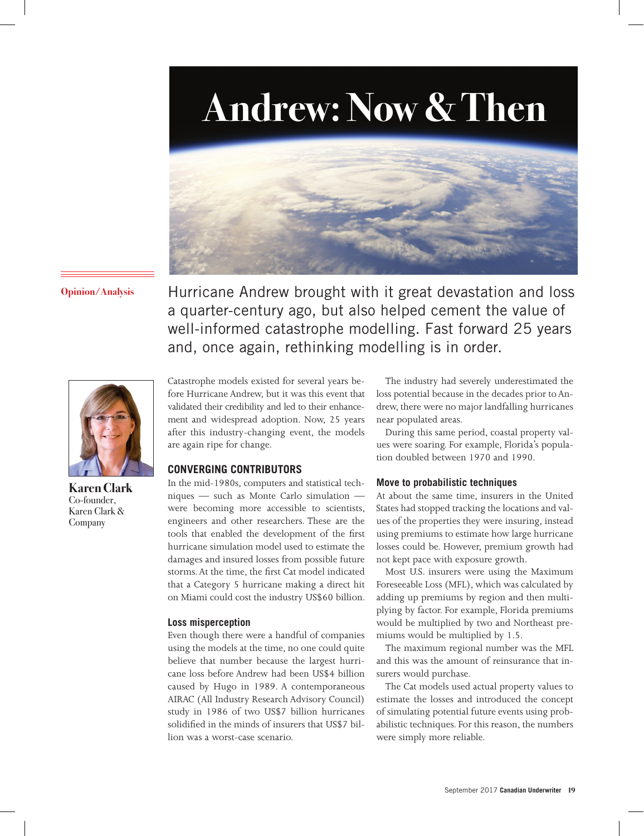# **Andrew: Now & Then**



**Opinion/Analysis** Hurricane Andrew brought with it great devastation and loss a quarter-century ago, but also helped cement the value of well-informed catastrophe modelling. Fast forward 25 years and, once again, rethinking modelling is in order.



**Karen Clark**  Co-founder, Karen Clark & Company

Catastrophe models existed for several years before Hurricane Andrew, but it was this event that validated their credibility and led to their enhancement and widespread adoption. Now, 25 years after this industry-changing event, the models are again ripe for change.

#### **CONVERGING CONTRIBUTORS**

In the mid-1980s, computers and statistical techniques — such as Monte Carlo simulation were becoming more accessible to scientists, engineers and other researchers. These are the tools that enabled the development of the first hurricane simulation model used to estimate the damages and insured losses from possible future storms. At the time, the first Cat model indicated that a Category 5 hurricane making a direct hit on Miami could cost the industry US\$60 billion.

#### **Loss misperception**

Even though there were a handful of companies using the models at the time, no one could quite believe that number because the largest hurricane loss before Andrew had been US\$4 billion caused by Hugo in 1989. A contemporaneous AIRAC (All Industry Research Advisory Council) study in 1986 of two US\$7 billion hurricanes solidified in the minds of insurers that US\$7 billion was a worst-case scenario.

The industry had severely underestimated the loss potential because in the decades prior to Andrew, there were no major landfalling hurricanes near populated areas.

During this same period, coastal property values were soaring. For example, Florida's population doubled between 1970 and 1990.

#### **Move to probabilistic techniques**

At about the same time, insurers in the United States had stopped tracking the locations and values of the properties they were insuring, instead using premiums to estimate how large hurricane losses could be. However, premium growth had not kept pace with exposure growth.

Most U.S. insurers were using the Maximum Foreseeable Loss (MFL), which was calculated by adding up premiums by region and then multiplying by factor. For example, Florida premiums would be multiplied by two and Northeast premiums would be multiplied by 1.5.

The maximum regional number was the MFL and this was the amount of reinsurance that insurers would purchase.

The Cat models used actual property values to estimate the losses and introduced the concept of simulating potential future events using probabilistic techniques. For this reason, the numbers were simply more reliable.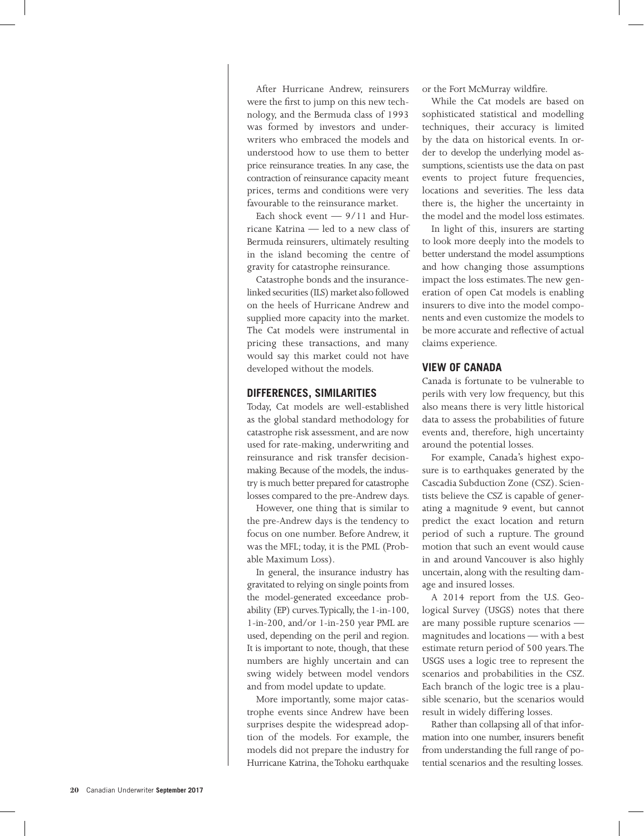After Hurricane Andrew, reinsurers were the first to jump on this new technology, and the Bermuda class of 1993 was formed by investors and underwriters who embraced the models and understood how to use them to better price reinsurance treaties. In any case, the contraction of reinsurance capacity meant prices, terms and conditions were very favourable to the reinsurance market.

Each shock event  $-9/11$  and Hurricane Katrina — led to a new class of Bermuda reinsurers, ultimately resulting in the island becoming the centre of gravity for catastrophe reinsurance.

Catastrophe bonds and the insurancelinked securities (ILS) market also followed on the heels of Hurricane Andrew and supplied more capacity into the market. The Cat models were instrumental in pricing these transactions, and many would say this market could not have developed without the models.

#### **DIFFERENCES, SIMILARITIES**

Today, Cat models are well-established as the global standard methodology for catastrophe risk assessment, and are now used for rate-making, underwriting and reinsurance and risk transfer decisionmaking. Because of the models, the industry is much better prepared for catastrophe losses compared to the pre-Andrew days.

However, one thing that is similar to the pre-Andrew days is the tendency to focus on one number. Before Andrew, it was the MFL; today, it is the PML (Probable Maximum Loss).

In general, the insurance industry has gravitated to relying on single points from the model-generated exceedance probability (EP) curves. Typically, the 1-in-100, 1-in-200, and/or 1-in-250 year PML are used, depending on the peril and region. It is important to note, though, that these numbers are highly uncertain and can swing widely between model vendors and from model update to update.

More importantly, some major catastrophe events since Andrew have been surprises despite the widespread adoption of the models. For example, the models did not prepare the industry for Hurricane Katrina, the Tohoku earthquake or the Fort McMurray wildfire.

While the Cat models are based on sophisticated statistical and modelling techniques, their accuracy is limited by the data on historical events. In order to develop the underlying model assumptions, scientists use the data on past events to project future frequencies, locations and severities. The less data there is, the higher the uncertainty in the model and the model loss estimates.

In light of this, insurers are starting to look more deeply into the models to better understand the model assumptions and how changing those assumptions impact the loss estimates. The new generation of open Cat models is enabling insurers to dive into the model components and even customize the models to be more accurate and reflective of actual claims experience.

### **VIEW OF CANADA**

Canada is fortunate to be vulnerable to perils with very low frequency, but this also means there is very little historical data to assess the probabilities of future events and, therefore, high uncertainty around the potential losses.

For example, Canada's highest exposure is to earthquakes generated by the Cascadia Subduction Zone (CSZ). Scientists believe the CSZ is capable of generating a magnitude 9 event, but cannot predict the exact location and return period of such a rupture. The ground motion that such an event would cause in and around Vancouver is also highly uncertain, along with the resulting damage and insured losses.

A 2014 report from the U.S. Geological Survey (USGS) notes that there are many possible rupture scenarios magnitudes and locations — with a best estimate return period of 500 years. The USGS uses a logic tree to represent the scenarios and probabilities in the CSZ. Each branch of the logic tree is a plausible scenario, but the scenarios would result in widely differing losses.

Rather than collapsing all of that information into one number, insurers benefit from understanding the full range of potential scenarios and the resulting losses.